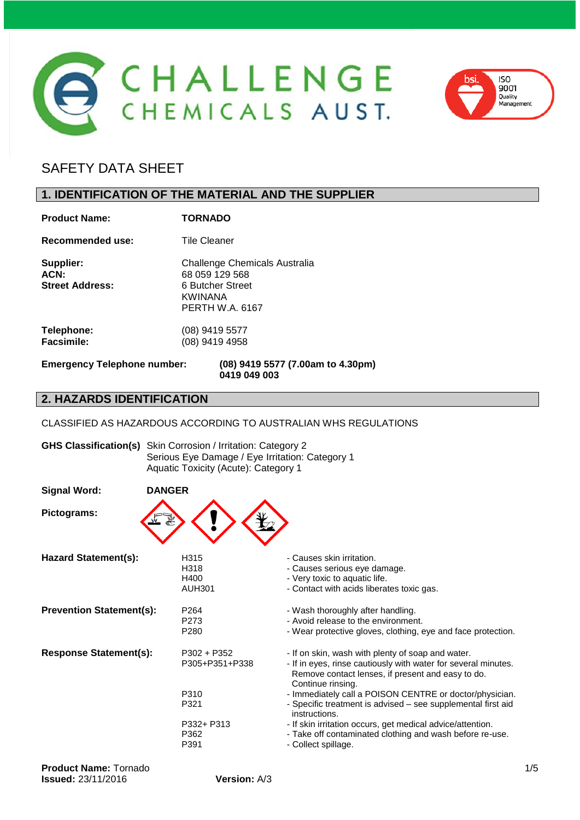



# SAFETY DATA SHEET

# **1. IDENTIFICATION OF THE MATERIAL AND THE SUPPLIER**

| <b>Product Name:</b>                        | <b>TORNADO</b>                                                                                           |
|---------------------------------------------|----------------------------------------------------------------------------------------------------------|
| Recommended use:                            | <b>Tile Cleaner</b>                                                                                      |
| Supplier:<br>ACN:<br><b>Street Address:</b> | Challenge Chemicals Australia<br>68 059 129 568<br>6 Butcher Street<br>KWINANA<br><b>PERTH W.A. 6167</b> |
| Telephone:<br><b>Facsimile:</b>             | (08) 9419 5577<br>(08) 9419 4958                                                                         |
| <b>Emergency Telephone number:</b>          | (08) 9419 5577 (7.00am to 4.30pm)                                                                        |

**0419 049 003**

#### **2. HAZARDS IDENTIFICATION**

CLASSIFIED AS HAZARDOUS ACCORDING TO AUSTRALIAN WHS REGULATIONS

|                                 | <b>GHS Classification(s)</b> Skin Corrosion / Irritation: Category 2<br>Serious Eye Damage / Eye Irritation: Category 1<br>Aquatic Toxicity (Acute): Category 1 |                                                                                                                                                                                                                                                                                                                                           |  |  |
|---------------------------------|-----------------------------------------------------------------------------------------------------------------------------------------------------------------|-------------------------------------------------------------------------------------------------------------------------------------------------------------------------------------------------------------------------------------------------------------------------------------------------------------------------------------------|--|--|
| <b>Signal Word:</b>             | <b>DANGER</b>                                                                                                                                                   |                                                                                                                                                                                                                                                                                                                                           |  |  |
| Pictograms:                     |                                                                                                                                                                 |                                                                                                                                                                                                                                                                                                                                           |  |  |
| <b>Hazard Statement(s):</b>     | H315<br>H318<br>H400<br><b>AUH301</b>                                                                                                                           | - Causes skin irritation.<br>- Causes serious eye damage.<br>- Very toxic to aquatic life.<br>- Contact with acids liberates toxic gas.                                                                                                                                                                                                   |  |  |
| <b>Prevention Statement(s):</b> | P <sub>264</sub><br>P273<br>P <sub>280</sub>                                                                                                                    | - Wash thoroughly after handling.<br>- Avoid release to the environment.<br>- Wear protective gloves, clothing, eye and face protection.                                                                                                                                                                                                  |  |  |
| <b>Response Statement(s):</b>   | $P302 + P352$<br>P305+P351+P338<br>P310<br>P321                                                                                                                 | - If on skin, wash with plenty of soap and water.<br>- If in eyes, rinse cautiously with water for several minutes.<br>Remove contact lenses, if present and easy to do.<br>Continue rinsing.<br>- Immediately call a POISON CENTRE or doctor/physician.<br>- Specific treatment is advised - see supplemental first aid<br>instructions. |  |  |
|                                 | P332+ P313<br>P362<br>P391                                                                                                                                      | - If skin irritation occurs, get medical advice/attention.<br>- Take off contaminated clothing and wash before re-use.<br>- Collect spillage.                                                                                                                                                                                             |  |  |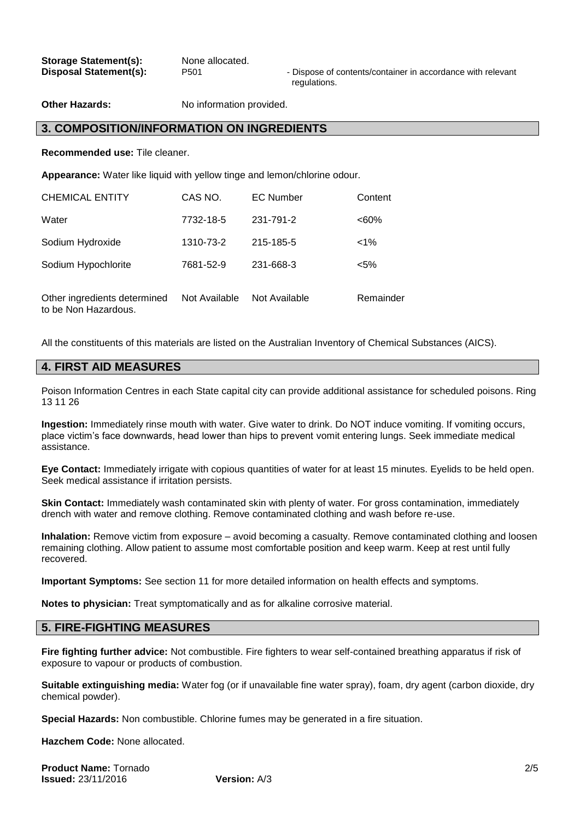| <b>Storage Statement(s):</b>  |  |
|-------------------------------|--|
| <b>Disposal Statement(s):</b> |  |

**Some allocated.** 

P<sub>501</sub> - Dispose of contents/container in accordance with relevant regulations.

**Other Hazards:** No information provided.

#### **3. COMPOSITION/INFORMATION ON INGREDIENTS**

**Recommended use:** Tile cleaner.

**Appearance:** Water like liquid with yellow tinge and lemon/chlorine odour.

| <b>CHEMICAL ENTITY</b>       | CAS NO.       | <b>EC Number</b> | Content   |
|------------------------------|---------------|------------------|-----------|
| Water                        | 7732-18-5     | 231-791-2        | $<60\%$   |
| Sodium Hydroxide             | 1310-73-2     | 215-185-5        | $1\%$     |
| Sodium Hypochlorite          | 7681-52-9     | 231-668-3        | $< 5\%$   |
| Other ingredients determined | Not Available | Not Available    | Remainder |

All the constituents of this materials are listed on the Australian Inventory of Chemical Substances (AICS).

## **4. FIRST AID MEASURES**

to be Non Hazardous.

Poison Information Centres in each State capital city can provide additional assistance for scheduled poisons. Ring 13 11 26

**Ingestion:** Immediately rinse mouth with water. Give water to drink. Do NOT induce vomiting. If vomiting occurs, place victim's face downwards, head lower than hips to prevent vomit entering lungs. Seek immediate medical assistance.

**Eye Contact:** Immediately irrigate with copious quantities of water for at least 15 minutes. Eyelids to be held open. Seek medical assistance if irritation persists.

**Skin Contact:** Immediately wash contaminated skin with plenty of water. For gross contamination, immediately drench with water and remove clothing. Remove contaminated clothing and wash before re-use.

**Inhalation:** Remove victim from exposure – avoid becoming a casualty. Remove contaminated clothing and loosen remaining clothing. Allow patient to assume most comfortable position and keep warm. Keep at rest until fully recovered.

**Important Symptoms:** See section 11 for more detailed information on health effects and symptoms.

**Notes to physician:** Treat symptomatically and as for alkaline corrosive material.

#### **5. FIRE-FIGHTING MEASURES**

**Fire fighting further advice:** Not combustible. Fire fighters to wear self-contained breathing apparatus if risk of exposure to vapour or products of combustion.

**Suitable extinguishing media:** Water fog (or if unavailable fine water spray), foam, dry agent (carbon dioxide, dry chemical powder).

**Special Hazards:** Non combustible. Chlorine fumes may be generated in a fire situation.

**Hazchem Code:** None allocated.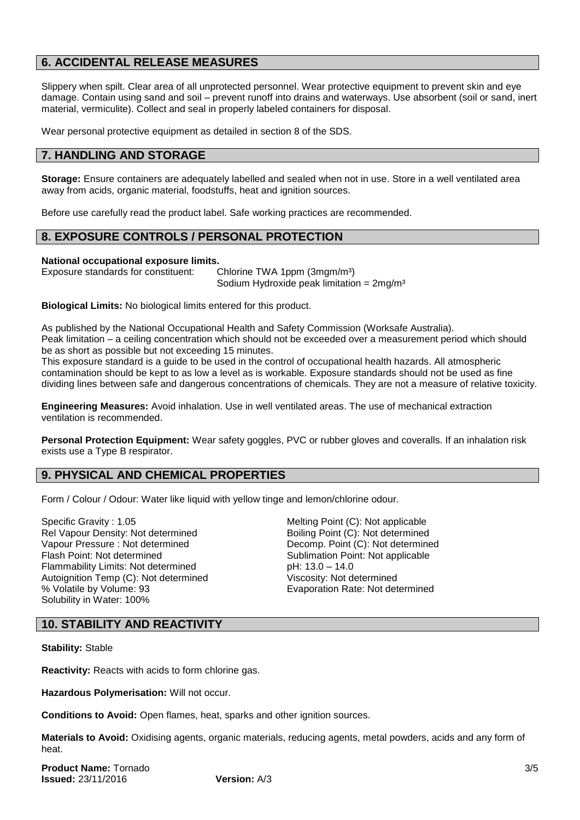# **6. ACCIDENTAL RELEASE MEASURES**

Slippery when spilt. Clear area of all unprotected personnel. Wear protective equipment to prevent skin and eye damage. Contain using sand and soil – prevent runoff into drains and waterways. Use absorbent (soil or sand, inert material, vermiculite). Collect and seal in properly labeled containers for disposal.

Wear personal protective equipment as detailed in section 8 of the SDS.

#### **7. HANDLING AND STORAGE**

**Storage:** Ensure containers are adequately labelled and sealed when not in use. Store in a well ventilated area away from acids, organic material, foodstuffs, heat and ignition sources.

Before use carefully read the product label. Safe working practices are recommended.

## **8. EXPOSURE CONTROLS / PERSONAL PROTECTION**

#### **National occupational exposure limits.**

Exposure standards for constituent: Chlorine TWA 1ppm (3mgm/m<sup>3</sup>)

Sodium Hydroxide peak limitation =  $2mg/m<sup>3</sup>$ 

**Biological Limits:** No biological limits entered for this product.

As published by the National Occupational Health and Safety Commission (Worksafe Australia). Peak limitation – a ceiling concentration which should not be exceeded over a measurement period which should be as short as possible but not exceeding 15 minutes.

This exposure standard is a guide to be used in the control of occupational health hazards. All atmospheric contamination should be kept to as low a level as is workable. Exposure standards should not be used as fine dividing lines between safe and dangerous concentrations of chemicals. They are not a measure of relative toxicity.

**Engineering Measures:** Avoid inhalation. Use in well ventilated areas. The use of mechanical extraction ventilation is recommended.

**Personal Protection Equipment:** Wear safety goggles, PVC or rubber gloves and coveralls. If an inhalation risk exists use a Type B respirator.

# **9. PHYSICAL AND CHEMICAL PROPERTIES**

Form / Colour / Odour: Water like liquid with yellow tinge and lemon/chlorine odour.

Specific Gravity : 1.05 Melting Point (C): Not applicable Rel Vapour Density: Not determined Boiling Point (C): Not determined Vapour Pressure : Not determined Decomp. Point (C): Not determined Flash Point: Not determined Sublimation Point: Not applicable Flammability Limits: Not determined pH: 13.0 – 14.0 Autoignition Temp (C): Not determined<br>
% Volatile by Volume: 93<br>
Evaporation Rate: Not determined<br>
Evaporation Rate: Not determined Solubility in Water: 100%

Evaporation Rate: Not determined

# **10. STABILITY AND REACTIVITY**

**Stability:** Stable

**Reactivity:** Reacts with acids to form chlorine gas.

**Hazardous Polymerisation:** Will not occur.

**Conditions to Avoid:** Open flames, heat, sparks and other ignition sources.

**Materials to Avoid:** Oxidising agents, organic materials, reducing agents, metal powders, acids and any form of heat.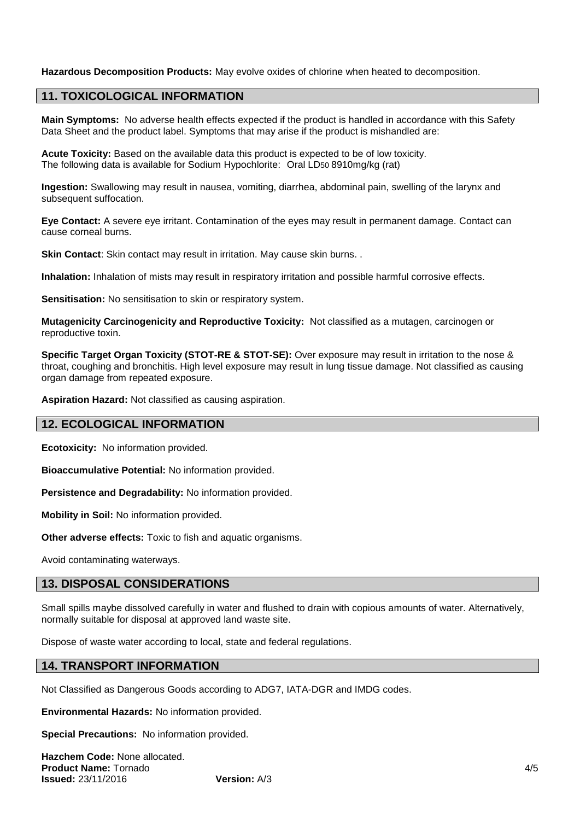**Hazardous Decomposition Products:** May evolve oxides of chlorine when heated to decomposition.

# **11. TOXICOLOGICAL INFORMATION**

**Main Symptoms:** No adverse health effects expected if the product is handled in accordance with this Safety Data Sheet and the product label. Symptoms that may arise if the product is mishandled are:

**Acute Toxicity:** Based on the available data this product is expected to be of low toxicity. The following data is available for Sodium Hypochlorite: Oral LD50 8910mg/kg (rat)

**Ingestion:** Swallowing may result in nausea, vomiting, diarrhea, abdominal pain, swelling of the larynx and subsequent suffocation.

**Eye Contact:** A severe eye irritant. Contamination of the eyes may result in permanent damage. Contact can cause corneal burns.

**Skin Contact:** Skin contact may result in irritation. May cause skin burns. .

**Inhalation:** Inhalation of mists may result in respiratory irritation and possible harmful corrosive effects.

**Sensitisation:** No sensitisation to skin or respiratory system.

**Mutagenicity Carcinogenicity and Reproductive Toxicity:** Not classified as a mutagen, carcinogen or reproductive toxin.

**Specific Target Organ Toxicity (STOT-RE & STOT-SE):** Over exposure may result in irritation to the nose & throat, coughing and bronchitis. High level exposure may result in lung tissue damage. Not classified as causing organ damage from repeated exposure.

**Aspiration Hazard:** Not classified as causing aspiration.

#### **12. ECOLOGICAL INFORMATION**

**Ecotoxicity:** No information provided.

**Bioaccumulative Potential:** No information provided.

**Persistence and Degradability:** No information provided.

**Mobility in Soil:** No information provided.

**Other adverse effects:** Toxic to fish and aquatic organisms.

Avoid contaminating waterways.

#### **13. DISPOSAL CONSIDERATIONS**

Small spills maybe dissolved carefully in water and flushed to drain with copious amounts of water. Alternatively, normally suitable for disposal at approved land waste site.

Dispose of waste water according to local, state and federal regulations.

#### **14. TRANSPORT INFORMATION**

Not Classified as Dangerous Goods according to ADG7, IATA-DGR and IMDG codes.

**Environmental Hazards:** No information provided.

**Special Precautions:** No information provided.